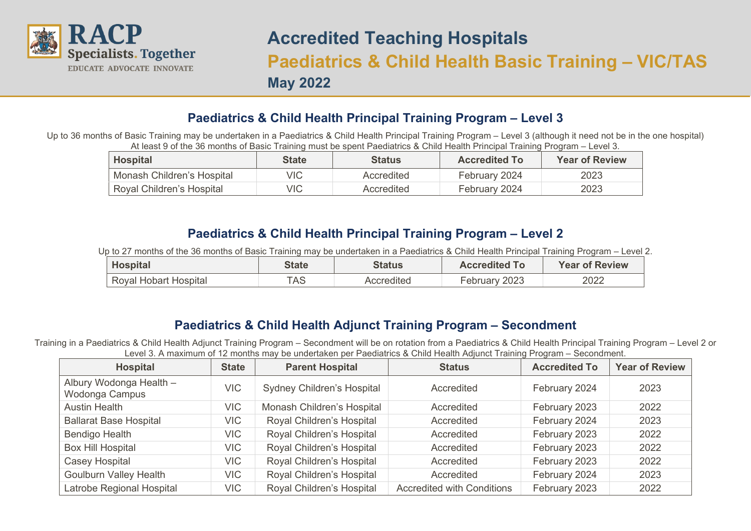

## **Accredited Teaching Hospitals Paediatrics & Child Health Basic Training – VIC/TAS May 2022**

## **Paediatrics & Child Health Principal Training Program – Level 3**

Up to 36 months of Basic Training may be undertaken in a Paediatrics & Child Health Principal Training Program – Level 3 (although it need not be in the one hospital) At least 9 of the 36 months of Basic Training must be spent Paediatrics & Child Health Principal Training Program – Level 3.

| <b>Hospital</b>            | <b>State</b> | <b>Status</b> | <b>Accredited To</b> | <b>Year of Review</b> |
|----------------------------|--------------|---------------|----------------------|-----------------------|
| Monash Children's Hospital | VIC          | Accredited    | February 2024        | 2023                  |
| Royal Children's Hospital  | VIC          | Accredited    | February 2024        | 2023                  |

## **Paediatrics & Child Health Principal Training Program – Level 2**

Up to 27 months of the 36 months of Basic Training may be undertaken in a Paediatrics & Child Health Principal Training Program – Level 2.

| <b>Hospital</b>       | State      | Status     | <b>Accredited To</b> | <b>Year of Review</b> |
|-----------------------|------------|------------|----------------------|-----------------------|
| Royal Hobart Hospital | <b>TAS</b> | Accredited | February 2023        | 2022                  |

## **Paediatrics & Child Health Adjunct Training Program – Secondment**

Training in a Paediatrics & Child Health Adjunct Training Program – Secondment will be on rotation from a Paediatrics & Child Health Principal Training Program – Level 2 or Level 3. A maximum of 12 months may be undertaken per Paediatrics & Child Health Adjunct Training Program – Secondment.

| <b>Hospital</b>                           | <b>State</b> | <b>Parent Hospital</b>            | <b>Status</b>                     | <b>Accredited To</b> | <b>Year of Review</b> |
|-------------------------------------------|--------------|-----------------------------------|-----------------------------------|----------------------|-----------------------|
| Albury Wodonga Health -<br>Wodonga Campus | <b>VIC</b>   | <b>Sydney Children's Hospital</b> | Accredited                        | February 2024        | 2023                  |
| <b>Austin Health</b>                      | <b>VIC</b>   | Monash Children's Hospital        | Accredited                        | February 2023        | 2022                  |
| <b>Ballarat Base Hospital</b>             | <b>VIC</b>   | Royal Children's Hospital         | Accredited                        | February 2024        | 2023                  |
| Bendigo Health                            | <b>VIC</b>   | Royal Children's Hospital         | Accredited                        | February 2023        | 2022                  |
| <b>Box Hill Hospital</b>                  | <b>VIC</b>   | Royal Children's Hospital         | Accredited                        | February 2023        | 2022                  |
| <b>Casey Hospital</b>                     | <b>VIC</b>   | Royal Children's Hospital         | Accredited                        | February 2023        | 2022                  |
| <b>Goulburn Valley Health</b>             | <b>VIC</b>   | Royal Children's Hospital         | Accredited                        | February 2024        | 2023                  |
| Latrobe Regional Hospital                 | <b>VIC</b>   | Royal Children's Hospital         | <b>Accredited with Conditions</b> | February 2023        | 2022                  |